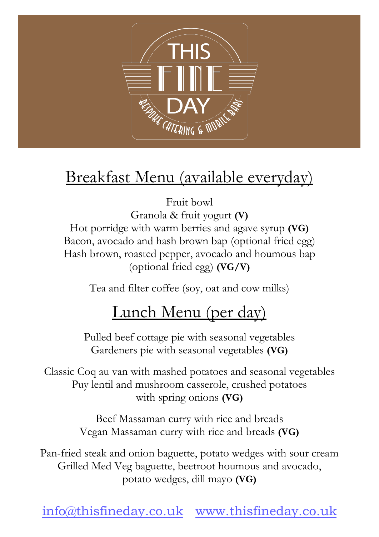

## Breakfast Menu (available everyday)

Fruit bowl Granola & fruit yogurt **(V)** Hot porridge with warm berries and agave syrup **(VG)** Bacon, avocado and hash brown bap (optional fried egg) Hash brown, roasted pepper, avocado and houmous bap (optional fried egg) **(VG/V)**

Tea and filter coffee (soy, oat and cow milks)

## Lunch Menu (per day)

Pulled beef cottage pie with seasonal vegetables Gardeners pie with seasonal vegetables **(VG)**

Classic Coq au van with mashed potatoes and seasonal vegetables Puy lentil and mushroom casserole, crushed potatoes with spring onions **(VG)**

> Beef Massaman curry with rice and breads Vegan Massaman curry with rice and breads **(VG)**

Pan-fried steak and onion baguette, potato wedges with sour cream Grilled Med Veg baguette, beetroot houmous and avocado, potato wedges, dill mayo **(VG)**

[info@thisfineday.co.uk](mailto:info@thisfineday.co.uk) [www.thisfineday.co.uk](http://www.thisfineday.co.uk/)